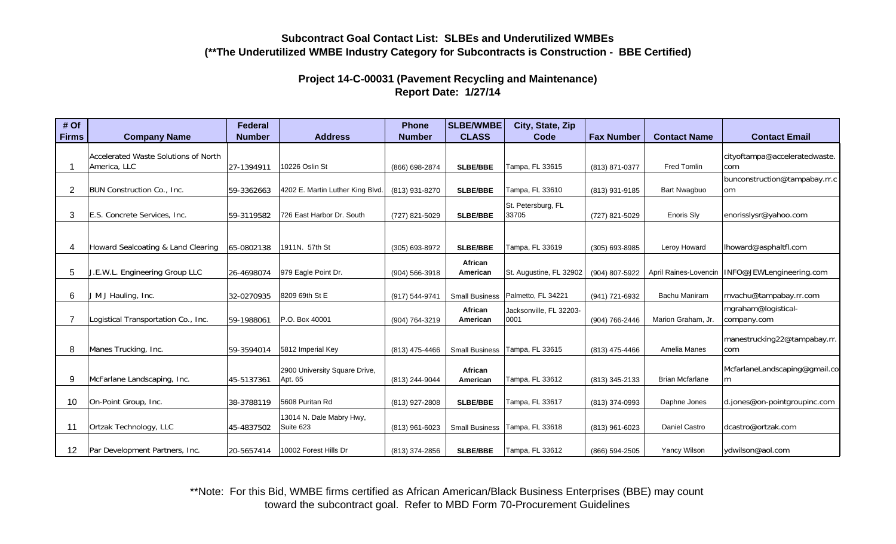## **Subcontract Goal Contact List: SLBEs and Underutilized WMBEs(\*\*The Underutilized WMBE Industry Category for Subcontracts is Construction - BBE Certified)**

## **Project 14-C-00031 (Pavement Recycling and Maintenance) Report Date: 1/27/14**

| # Of            |                                      | <b>Federal</b> |                                          | <b>Phone</b>   | <b>SLBE/WMBE</b>      | City, State, Zip            |                   |                        |                                    |
|-----------------|--------------------------------------|----------------|------------------------------------------|----------------|-----------------------|-----------------------------|-------------------|------------------------|------------------------------------|
| <b>Firms</b>    | <b>Company Name</b>                  | <b>Number</b>  | <b>Address</b>                           | <b>Number</b>  | <b>CLASS</b>          | Code                        | <b>Fax Number</b> | <b>Contact Name</b>    | <b>Contact Email</b>               |
|                 | Accelerated Waste Solutions of North |                |                                          |                |                       |                             |                   |                        | cityoftampa@acceleratedwaste.      |
|                 | America, LLC                         | 27-1394911     | 10226 Oslin St                           | (866) 698-2874 | <b>SLBE/BBE</b>       | Tampa, FL 33615             | (813) 871-0377    | Fred Tomlin            | com                                |
|                 |                                      |                |                                          |                |                       |                             |                   |                        | bunconstruction@tampabay.rr.c      |
| $\overline{2}$  | BUN Construction Co., Inc.           | 59-3362663     | 4202 E. Martin Luther King Blvd.         | (813) 931-8270 | <b>SLBE/BBE</b>       | Tampa, FL 33610             | (813) 931-9185    | Bart Nwagbuo           | lom                                |
| 3               | E.S. Concrete Services, Inc.         | 59-3119582     | 726 East Harbor Dr. South                | (727) 821-5029 | <b>SLBE/BBE</b>       | St. Petersburg, FL<br>33705 | (727) 821-5029    | Enoris Sly             | enorisslysr@yahoo.com              |
|                 |                                      |                |                                          |                |                       |                             |                   |                        |                                    |
|                 |                                      |                |                                          |                |                       |                             |                   |                        |                                    |
|                 | Howard Sealcoating & Land Clearing   | 65-0802138     | 1911N. 57th St                           | (305) 693-8972 | <b>SLBE/BBE</b>       | Tampa, FL 33619             | (305) 693-8985    | Leroy Howard           | lhoward@asphaltfl.com              |
|                 |                                      |                |                                          |                | African               |                             |                   |                        |                                    |
| 5               | J.E.W.L. Engineering Group LLC       | 26-4698074     | 979 Eagle Point Dr.                      | (904) 566-3918 | American              | St. Augustine, FL 32902     | (904) 807-5922    | April Raines-Lovencin  | INFO@JEWLengineering.com           |
|                 |                                      |                |                                          |                |                       |                             |                   |                        |                                    |
| 6               | J M J Hauling, Inc.                  | 32-0270935     | 8209 69th St E                           | (917) 544-9741 | <b>Small Business</b> | Palmetto, FL 34221          | (941) 721-6932    | Bachu Maniram          | mvachu@tampabay.rr.com             |
|                 |                                      |                |                                          |                | African               | Jacksonville, FL 32203-     |                   |                        | mgraham@logistical-                |
|                 | Logistical Transportation Co., Inc.  | 59-1988061     | P.O. Box 40001                           | (904) 764-3219 | American              | 0001                        | (904) 766-2446    | Marion Graham, Jr.     | company.com                        |
|                 |                                      |                |                                          |                |                       |                             |                   |                        | manestrucking22@tampabay.rr.       |
| 8               | Manes Trucking, Inc.                 | 59-3594014     | 5812 Imperial Key                        | (813) 475-4466 | <b>Small Business</b> | Tampa, FL 33615             | (813) 475-4466    | Amelia Manes           | com                                |
|                 |                                      |                |                                          |                |                       |                             |                   |                        |                                    |
| 9               | McFarlane Landscaping, Inc.          | 45-5137361     | 2900 University Square Drive,<br>Apt. 65 | (813) 244-9044 | African<br>American   | Tampa, FL 33612             | (813) 345-2133    | <b>Brian Mcfarlane</b> | McfarlaneLandscaping@gmail.co<br>m |
|                 |                                      |                |                                          |                |                       |                             |                   |                        |                                    |
| 10              | On-Point Group, Inc.                 | 38-3788119     | 5608 Puritan Rd                          | (813) 927-2808 | <b>SLBE/BBE</b>       | Tampa, FL 33617             | (813) 374-0993    | Daphne Jones           | d.jones@on-pointgroupinc.com       |
|                 |                                      |                | 13014 N. Dale Mabry Hwy,                 |                |                       |                             |                   |                        |                                    |
| 11              | Ortzak Technology, LLC               | 45-4837502     | Suite 623                                | (813) 961-6023 | <b>Small Business</b> | Tampa, FL 33618             | (813) 961-6023    | Daniel Castro          | dcastro@ortzak.com                 |
|                 |                                      |                |                                          |                |                       |                             |                   |                        |                                    |
| 12 <sup>1</sup> | Par Development Partners, Inc.       | 20-5657414     | 10002 Forest Hills Dr                    | (813) 374-2856 | <b>SLBE/BBE</b>       | Tampa, FL 33612             | (866) 594-2505    | Yancy Wilson           | ydwilson@aol.com                   |

\*\*Note: For this Bid, WMBE firms certified as African American/Black Business Enterprises (BBE) may count toward the subcontract goal. Refer to MBD Form 70-Procurement Guidelines